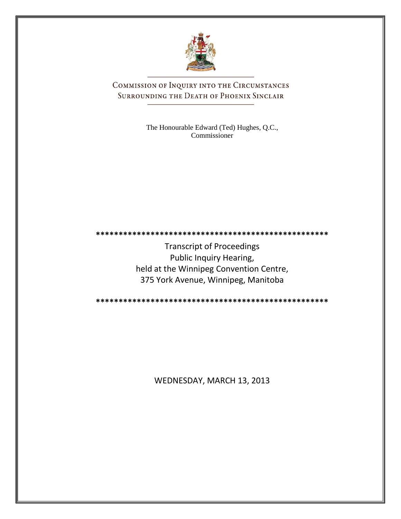

COMMISSION OF INQUIRY INTO THE CIRCUMSTANCES SURROUNDING THE DEATH OF PHOENIX SINCLAIR

> The Honourable Edward (Ted) Hughes, Q.C., Commissioner

**\*\*\*\*\*\*\*\*\*\*\*\*\*\*\*\*\*\*\*\*\*\*\*\*\*\*\*\*\*\*\*\*\*\*\*\*\*\*\*\*\*\*\*\*\*\*\*\*\*\*\***

Transcript of Proceedings Public Inquiry Hearing, held at the Winnipeg Convention Centre, 375 York Avenue, Winnipeg, Manitoba

**\*\*\*\*\*\*\*\*\*\*\*\*\*\*\*\*\*\*\*\*\*\*\*\*\*\*\*\*\*\*\*\*\*\*\*\*\*\*\*\*\*\*\*\*\*\*\*\*\*\*\***

WEDNESDAY, MARCH 13, 2013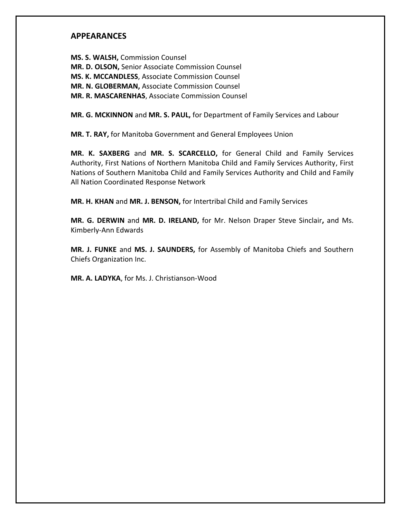## **APPEARANCES**

**MS. S. WALSH,** Commission Counsel **MR. D. OLSON,** Senior Associate Commission Counsel **MS. K. MCCANDLESS**, Associate Commission Counsel **MR. N. GLOBERMAN,** Associate Commission Counsel **MR. R. MASCARENHAS**, Associate Commission Counsel

**MR. G. MCKINNON** and **MR. S. PAUL,** for Department of Family Services and Labour

**MR. T. RAY,** for Manitoba Government and General Employees Union

**MR. K. SAXBERG** and **MR. S. SCARCELLO,** for General Child and Family Services Authority, First Nations of Northern Manitoba Child and Family Services Authority, First Nations of Southern Manitoba Child and Family Services Authority and Child and Family All Nation Coordinated Response Network

**MR. H. KHAN** and **MR. J. BENSON,** for Intertribal Child and Family Services

**MR. G. DERWIN** and **MR. D. IRELAND,** for Mr. Nelson Draper Steve Sinclair**,** and Ms. Kimberly-Ann Edwards

**MR. J. FUNKE** and **MS. J. SAUNDERS,** for Assembly of Manitoba Chiefs and Southern Chiefs Organization Inc.

**MR. A. LADYKA**, for Ms. J. Christianson-Wood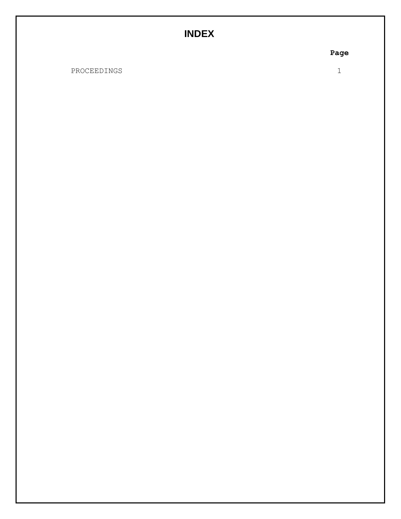# **INDEX**

**Page**

PROCEEDINGS

1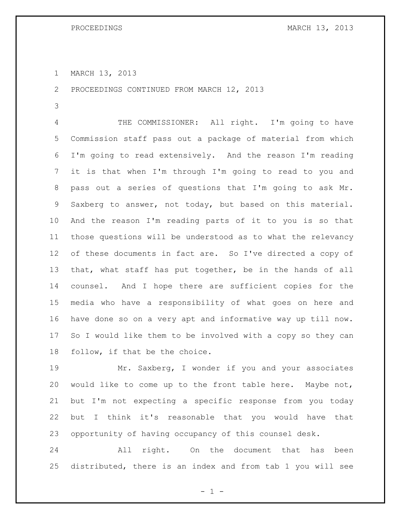MARCH 13, 2013

PROCEEDINGS CONTINUED FROM MARCH 12, 2013

 THE COMMISSIONER: All right. I'm going to have Commission staff pass out a package of material from which I'm going to read extensively. And the reason I'm reading it is that when I'm through I'm going to read to you and pass out a series of questions that I'm going to ask Mr. Saxberg to answer, not today, but based on this material. And the reason I'm reading parts of it to you is so that those questions will be understood as to what the relevancy of these documents in fact are. So I've directed a copy of that, what staff has put together, be in the hands of all counsel. And I hope there are sufficient copies for the media who have a responsibility of what goes on here and have done so on a very apt and informative way up till now. So I would like them to be involved with a copy so they can follow, if that be the choice.

 Mr. Saxberg, I wonder if you and your associates would like to come up to the front table here. Maybe not, but I'm not expecting a specific response from you today but I think it's reasonable that you would have that opportunity of having occupancy of this counsel desk.

 All right. On the document that has been distributed, there is an index and from tab 1 you will see

 $- 1 -$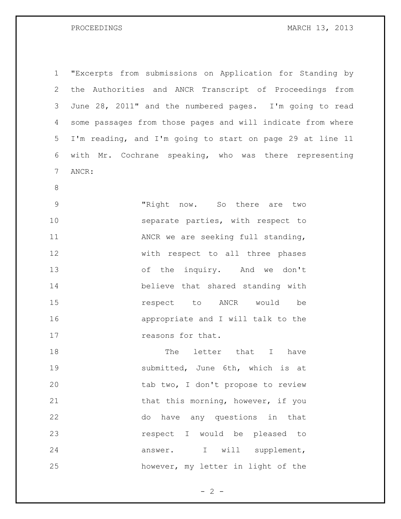| 1              | "Excerpts from submissions on Application for Standing by   |
|----------------|-------------------------------------------------------------|
| 2              | the Authorities and ANCR Transcript of Proceedings from     |
| 3              | June 28, 2011" and the numbered pages. I'm going to read    |
| 4              | some passages from those pages and will indicate from where |
| 5              | I'm reading, and I'm going to start on page 29 at line 11   |
| 6              | with Mr. Cochrane speaking, who was there representing      |
| $\overline{7}$ | ANCR:                                                       |
| $8\,$          |                                                             |
| $\mathsf 9$    | "Right now. So there are two                                |
| 10             | separate parties, with respect to                           |
| 11             | ANCR we are seeking full standing,                          |
| 12             | with respect to all three phases                            |
| 13             | of the inquiry. And we don't                                |
| 14             | believe that shared standing with                           |
| 15             | respect to ANCR would<br>be                                 |
| 16             | appropriate and I will talk to the                          |
| 17             | reasons for that.                                           |
| 18             | letter that I<br>The<br>have                                |
| 19             | submitted, June 6th, which is at                            |
| 20             | tab two, I don't propose to review                          |
| 21             | that this morning, however, if you                          |
| 22             | do have any questions in that                               |
| 23             | respect I would be pleased to                               |
| 24             | answer. I will supplement,                                  |
| 25             | however, my letter in light of the                          |

 $- 2 -$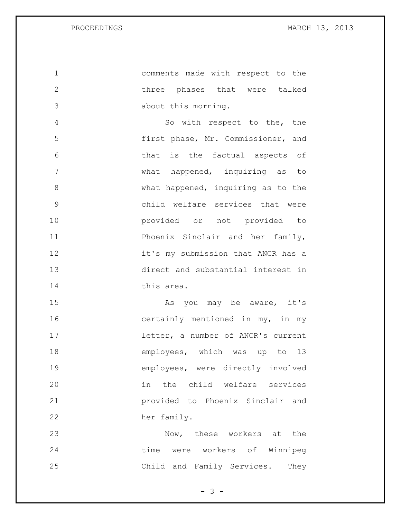comments made with respect to the three phases that were talked about this morning. So with respect to the, the first phase, Mr. Commissioner, and that is the factual aspects of what happened, inquiring as to 8 What happened, inquiring as to the child welfare services that were provided or not provided to **Phoenix Sinclair and her family,**  it's my submission that ANCR has a direct and substantial interest in this area. 15 As you may be aware, it's 16 certainly mentioned in my, in my letter, a number of ANCR's current 18 employees, which was up to 13 employees, were directly involved in the child welfare services provided to Phoenix Sinclair and her family. Now, these workers at the time were workers of Winnipeg

Child and Family Services. They

- 3 -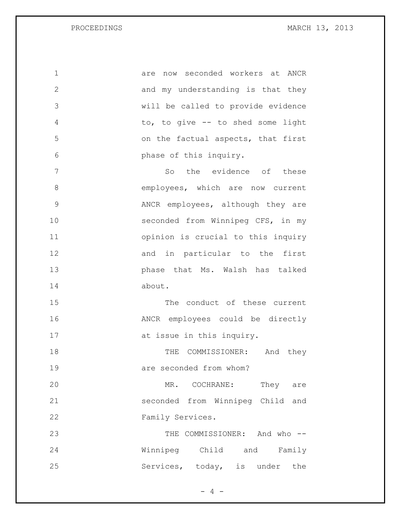are now seconded workers at ANCR 2 and my understanding is that they will be called to provide evidence to, to give -- to shed some light on the factual aspects, that first phase of this inquiry. So the evidence of these employees, which are now current ANCR employees, although they are seconded from Winnipeg CFS, in my opinion is crucial to this inquiry 12 and in particular to the first phase that Ms. Walsh has talked about. The conduct of these current ANCR employees could be directly 17 at issue in this inquiry. 18 THE COMMISSIONER: And they 19 are seconded from whom? 20 MR. COCHRANE: They are seconded from Winnipeg Child and Family Services. THE COMMISSIONER: And who -- Winnipeg Child and Family

Services, today, is under the

 $- 4 -$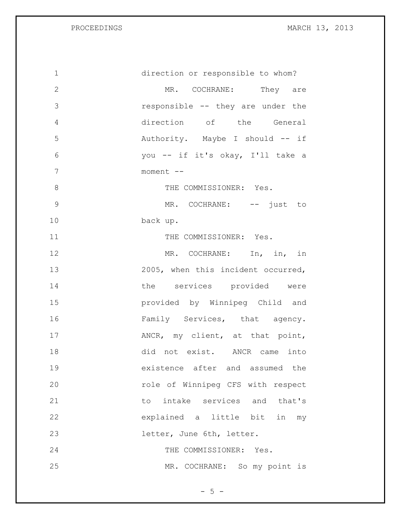| $\mathbf 1$  | direction or responsible to whom?  |
|--------------|------------------------------------|
| $\mathbf{2}$ | MR. COCHRANE: They are             |
| 3            | responsible -- they are under the  |
| 4            | direction of the General           |
| 5            | Authority. Maybe I should -- if    |
| 6            | you -- if it's okay, I'll take a   |
| 7            | moment --                          |
| 8            | THE COMMISSIONER: Yes.             |
| $\mathsf 9$  | MR. COCHRANE: -- just to           |
| 10           | back up.                           |
| 11           | THE COMMISSIONER: Yes.             |
| 12           | MR. COCHRANE: In, in, in           |
| 13           | 2005, when this incident occurred, |
| 14           | the services provided were         |
| 15           | provided by Winnipeg Child and     |
| 16           | Family Services, that agency.      |
| 17           | ANCR, my client, at that point,    |
| 18           | did not exist. ANCR came into      |
| 19           | existence after and assumed the    |
| 20           | role of Winnipeg CFS with respect  |
| 21           | to intake services and that's      |
| 22           | explained a little bit in my       |
| 23           | letter, June 6th, letter.          |
| 24           | THE COMMISSIONER: Yes.             |
| 25           | MR. COCHRANE: So my point is       |

 $-5 -$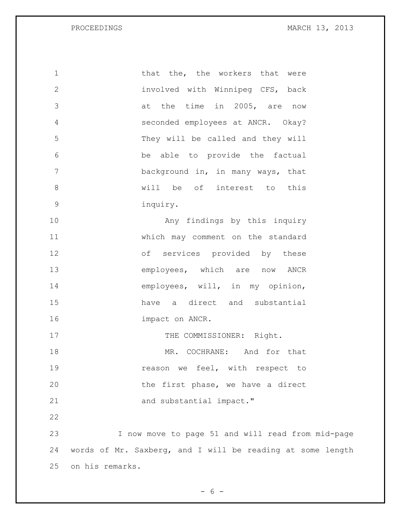1 that the, the workers that were 2 involved with Winnipeg CFS, back 3 at the time in 2005, are now 4 seconded employees at ANCR. Okay? 5 They will be called and they will 6 be able to provide the factual 7 background in, in many ways, that 8 will be of interest to this 9 inquiry. 10 Any findings by this inquiry 11 which may comment on the standard 12 of services provided by these 13 employees, which are now ANCR 14 employees, will, in my opinion, 15 have a direct and substantial 16 impact on ANCR. 17 THE COMMISSIONER: Right. 18 MR. COCHRANE: And for that 19 **19** reason we feel, with respect to 20 the first phase, we have a direct 21 and substantial impact." 22 23 I now move to page 51 and will read from mid-page 24 words of Mr. Saxberg, and I will be reading at some length 25 on his remarks.

 $- 6 -$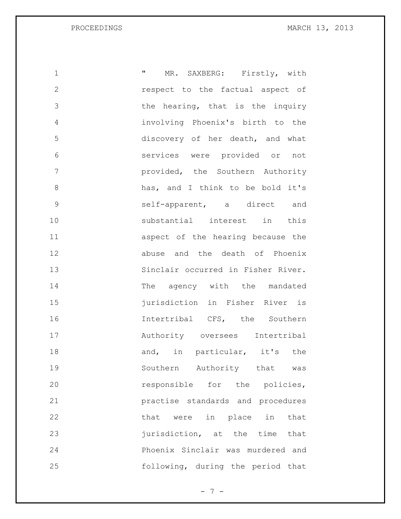| 1             | $\mathbf{H}$<br>MR. SAXBERG: Firstly, with |
|---------------|--------------------------------------------|
| $\mathbf{2}$  | respect to the factual aspect of           |
| 3             | the hearing, that is the inquiry           |
| 4             | involving Phoenix's birth to the           |
| 5             | discovery of her death, and what           |
| 6             | services were provided or not              |
| 7             | provided, the Southern Authority           |
| 8             | has, and I think to be bold it's           |
| $\mathcal{G}$ | self-apparent, a direct and                |
| 10            | substantial interest in this               |
| 11            | aspect of the hearing because the          |
| 12            | abuse and the death of Phoenix             |
| 13            | Sinclair occurred in Fisher River.         |
| 14            | The agency with the mandated               |
| 15            | jurisdiction in Fisher River is            |
| 16            | Intertribal CFS, the Southern              |
| 17            | Authority oversees Intertribal             |
| 18            | and, in particular, it's the               |
| 19            | Southern Authority that was                |
| 20            | responsible for the policies,              |
| 21            | practise standards and procedures          |
| 22            | that were in place in that                 |
| 23            | jurisdiction, at the time that             |
| 24            | Phoenix Sinclair was murdered and          |
| 25            | following, during the period that          |

- 7 -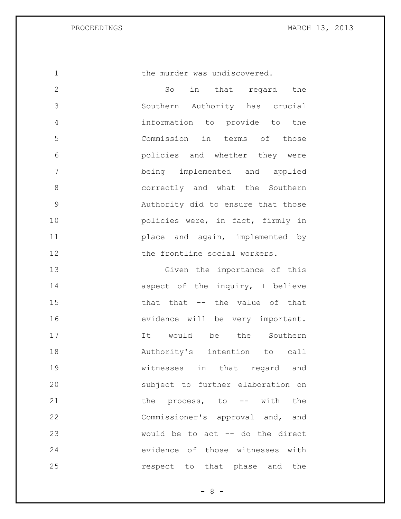1 the murder was undiscovered.

 So in that regard the Southern Authority has crucial information to provide to the Commission in terms of those policies and whether they were being implemented and applied 8 correctly and what the Southern Authority did to ensure that those **policies were, in fact, firmly in**  place and again, implemented by 12 the frontline social workers.

13 Given the importance of this 14 aspect of the inquiry, I believe 15 that that -- the value of that 16 evidence will be very important. 17 17 It would be the Southern 18 Authority's intention to call 19 witnesses in that regard and 20 subject to further elaboration on 21 the process, to -- with the 22 Commissioner's approval and, and 23 would be to act -- do the direct 24 evidence of those witnesses with 25 **respect** to that phase and the

- 8 -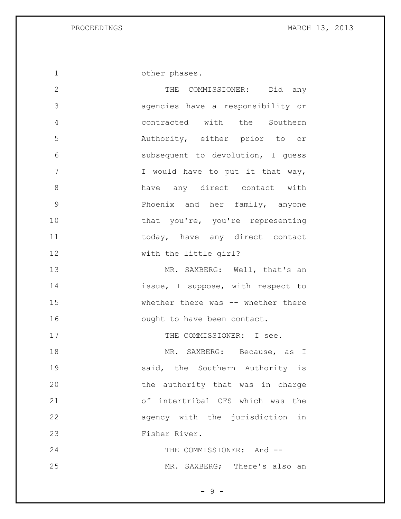1 other phases.

 THE COMMISSIONER: Did any agencies have a responsibility or contracted with the Southern Authority, either prior to or subsequent to devolution, I guess 7 I would have to put it that way, have any direct contact with Phoenix and her family, anyone 10 that you're, you're representing 11 today, have any direct contact with the little girl? 13 MR. SAXBERG: Well, that's an **issue, I suppose, with respect to** 15 whether there was -- whether there 16 ought to have been contact. 17 THE COMMISSIONER: I see. 18 MR. SAXBERG: Because, as I 19 5 aid, the Southern Authority is the authority that was in charge of intertribal CFS which was the agency with the jurisdiction in Fisher River. THE COMMISSIONER: And -- MR. SAXBERG; There's also an

 $-9 -$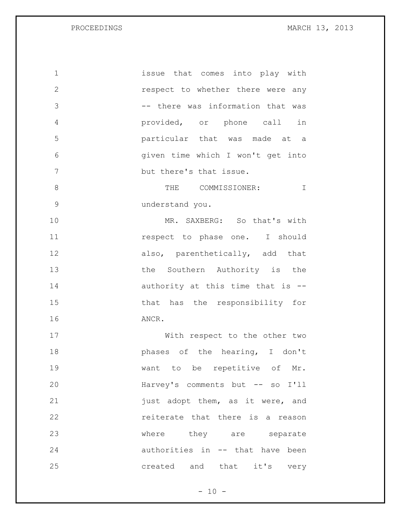issue that comes into play with respect to whether there were any -- there was information that was provided, or phone call in particular that was made at a given time which I won't get into but there's that issue. 8 THE COMMISSIONER: I understand you. MR. SAXBERG: So that's with **11** respect to phase one. I should 12 also, parenthetically, add that 13 the Southern Authority is the 14 authority at this time that is -- that has the responsibility for ANCR. With respect to the other two **phases** of the hearing, I don't want to be repetitive of Mr. Harvey's comments but -- so I'll **just** adopt them, as it were, and reiterate that there is a reason 23 where they are separate authorities in -- that have been created and that it's very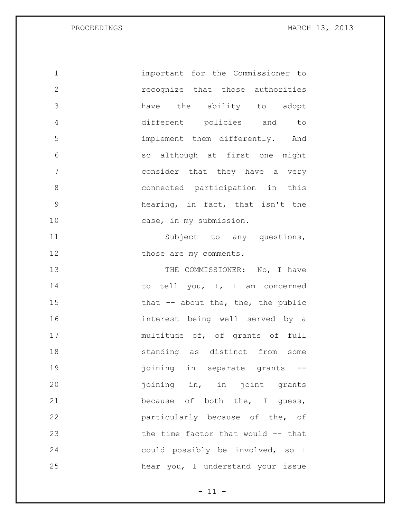important for the Commissioner to recognize that those authorities have the ability to adopt different policies and to implement them differently. And so although at first one might consider that they have a very connected participation in this hearing, in fact, that isn't the 10 case, in my submission. 11 Subject to any questions, 12 those are my comments. 13 THE COMMISSIONER: No, I have 14 to tell you, I, I am concerned 15 that -- about the, the, the public interest being well served by a multitude of, of grants of full standing as distinct from some **ightle in separate grants** -- joining in, in joint grants 21 because of both the, I guess, particularly because of the, of the time factor that would -- that could possibly be involved, so I

hear you, I understand your issue

 $- 11 -$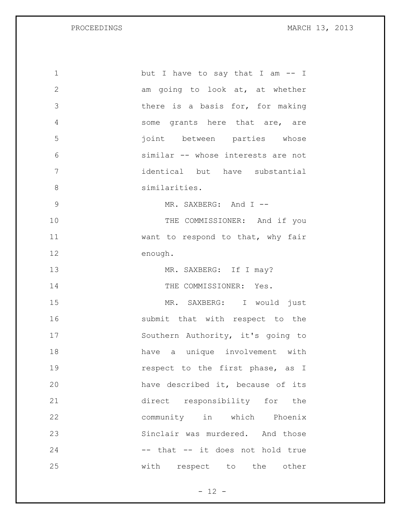| $\mathbf 1$   | but I have to say that I am -- I   |
|---------------|------------------------------------|
| $\mathbf{2}$  | am going to look at, at whether    |
| 3             | there is a basis for, for making   |
| 4             | some grants here that are, are     |
| 5             | joint between parties whose        |
| 6             | similar -- whose interests are not |
| 7             | identical but have substantial     |
| 8             | similarities.                      |
| $\mathcal{G}$ | MR. SAXBERG: And I --              |
| 10            | THE COMMISSIONER: And if you       |
| 11            | want to respond to that, why fair  |
| 12            | enough.                            |
| 13            | MR. SAXBERG: If I may?             |
| 14            | THE COMMISSIONER: Yes.             |
| 15            | MR. SAXBERG: I would just          |
| 16            | submit that with respect to the    |
| 17            | Southern Authority, it's going to  |
| 18            | have a unique involvement with     |
| 19            | respect to the first phase, as I   |
| 20            | have described it, because of its  |
| 21            | direct responsibility for the      |
| 22            | community in which Phoenix         |
| 23            | Sinclair was murdered. And those   |
| 24            | -- that -- it does not hold true   |
| 25            | with respect to the other          |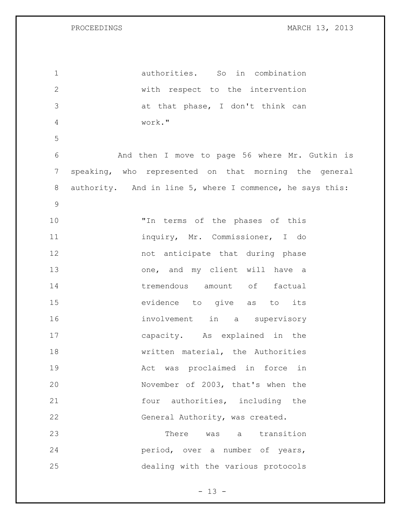authorities. So in combination with respect to the intervention at that phase, I don't think can work." And then I move to page 56 where Mr. Gutkin is speaking, who represented on that morning the general authority. And in line 5, where I commence, he says this: "In terms of the phases of this inquiry, Mr. Commissioner, I do not anticipate that during phase 13 one, and my client will have a 14 tremendous amount of factual evidence to give as to its involvement in a supervisory capacity. As explained in the **written material**, the Authorities Act was proclaimed in force in November of 2003, that's when the 21 four authorities, including the General Authority, was created. There was a transition period, over a number of years, dealing with the various protocols

 $- 13 -$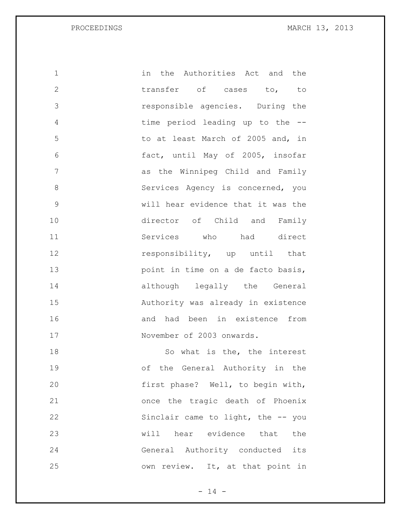| 1             | in the Authorities Act and the     |
|---------------|------------------------------------|
| $\mathbf{2}$  | transfer of cases to, to           |
| 3             | responsible agencies. During the   |
| 4             | time period leading up to the --   |
| 5             | to at least March of 2005 and, in  |
| 6             | fact, until May of 2005, insofar   |
| 7             | as the Winnipeg Child and Family   |
| 8             | Services Agency is concerned, you  |
| $\mathcal{G}$ | will hear evidence that it was the |
| 10            | director of Child and Family       |
| 11            | Services who had direct            |
| 12            | responsibility, up until that      |
| 13            | point in time on a de facto basis, |
| 14            | although legally the General       |
| 15            | Authority was already in existence |
| 16            | and had been in existence from     |
| 17            | November of 2003 onwards.          |
| 18            | So what is the, the interest       |
| 19            | of the General Authority in the    |
| 20            | first phase? Well, to begin with,  |
| 21            | once the tragic death of Phoenix   |
| 22            | Sinclair came to light, the -- you |
| 23            | hear evidence that<br>will<br>the  |
| 24            | General Authority conducted<br>its |

- 14 -

own review. It, at that point in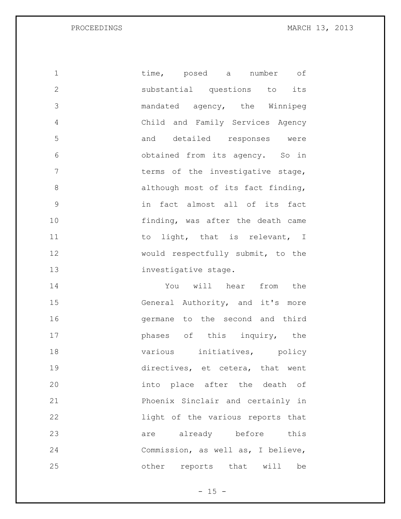1 time, posed a number of substantial questions to its mandated agency, the Winnipeg Child and Family Services Agency and detailed responses were obtained from its agency. So in 7 terms of the investigative stage, 8 although most of its fact finding, in fact almost all of its fact finding, was after the death came 11 to light, that is relevant, I 12 would respectfully submit, to the 13 investigative stage. You will hear from the General Authority, and it's more germane to the second and third **phases** of this inquiry, the 18 various initiatives, policy directives, et cetera, that went into place after the death of Phoenix Sinclair and certainly in light of the various reports that 23 are already before this Commission, as well as, I believe, other reports that will be

 $- 15 -$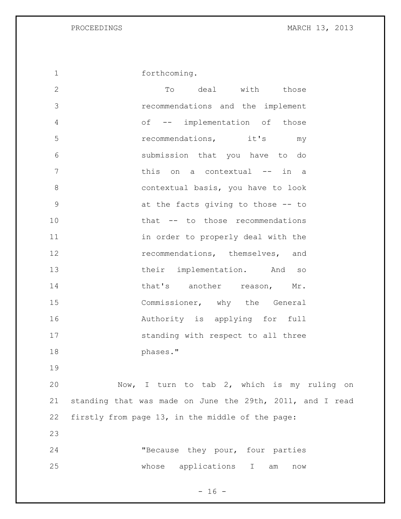forthcoming.

2 To deal with those recommendations and the implement of -- implementation of those recommendations, it's my submission that you have to do 7 this on a contextual -- in a contextual basis, you have to look at the facts giving to those -- to that -- to those recommendations 11 in order to properly deal with the **recommendations**, themselves, and 13 their implementation. And so 14 that's another reason, Mr. 15 Commissioner, why the General **Authority** is applying for full 17 standing with respect to all three phases."

 Now, I turn to tab 2, which is my ruling on standing that was made on June the 29th, 2011, and I read firstly from page 13, in the middle of the page:

 "Because they pour, four parties whose applications I am now

 $- 16 -$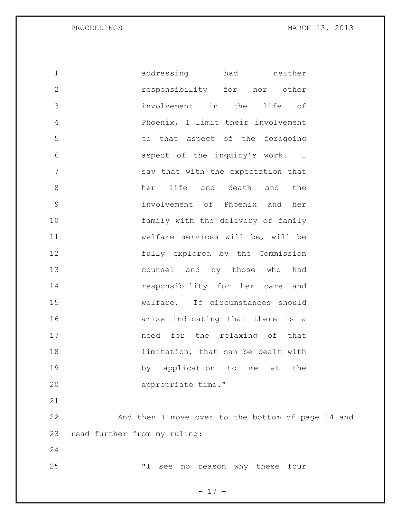| $\mathbf 1$  | addressing<br>had<br>neither                      |  |
|--------------|---------------------------------------------------|--|
| $\mathbf{2}$ | responsibility for nor other                      |  |
| 3            | involvement in the<br>life<br>оf                  |  |
| 4            | Phoenix, I limit their involvement                |  |
| 5            | to that aspect of the foregoing                   |  |
| 6            | aspect of the inquiry's work. I                   |  |
| 7            | say that with the expectation that                |  |
| $8\,$        | life and death and<br>her<br>the                  |  |
| $\mathsf 9$  | involvement of Phoenix and her                    |  |
| 10           | family with the delivery of family                |  |
| 11           | welfare services will be, will be                 |  |
| 12           | fully explored by the Commission                  |  |
| 13           | counsel and by those who had                      |  |
| 14           | responsibility for her care and                   |  |
| 15           | welfare. If circumstances should                  |  |
| 16           | arise indicating that there is a                  |  |
| 17           | need for the relaxing of that                     |  |
| 18           | limitation, that can be dealt with                |  |
| 19           | by application to me<br>at<br>the                 |  |
| 20           | appropriate time."                                |  |
| 21           |                                                   |  |
| 22           | And then I move over to the bottom of page 14 and |  |
| 23           | read further from my ruling:                      |  |
| 24           |                                                   |  |
| 25           | "I"<br>see no reason why these four               |  |
|              |                                                   |  |

- 17 -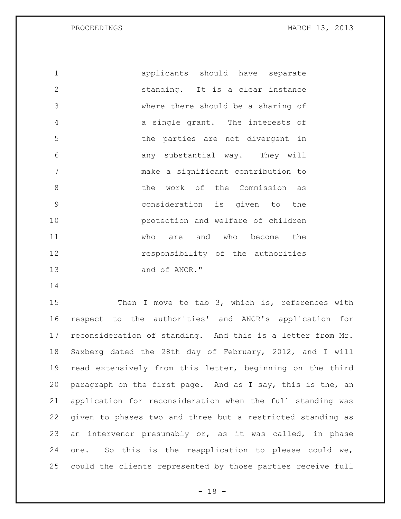applicants should have separate standing. It is a clear instance where there should be a sharing of a single grant. The interests of the parties are not divergent in any substantial way. They will make a significant contribution to 8 blue work of the Commission as consideration is given to the protection and welfare of children who are and who become the **responsibility** of the authorities and of ANCR."

15 Then I move to tab 3, which is, references with respect to the authorities' and ANCR's application for reconsideration of standing. And this is a letter from Mr. Saxberg dated the 28th day of February, 2012, and I will read extensively from this letter, beginning on the third paragraph on the first page. And as I say, this is the, an application for reconsideration when the full standing was given to phases two and three but a restricted standing as an intervenor presumably or, as it was called, in phase one. So this is the reapplication to please could we, could the clients represented by those parties receive full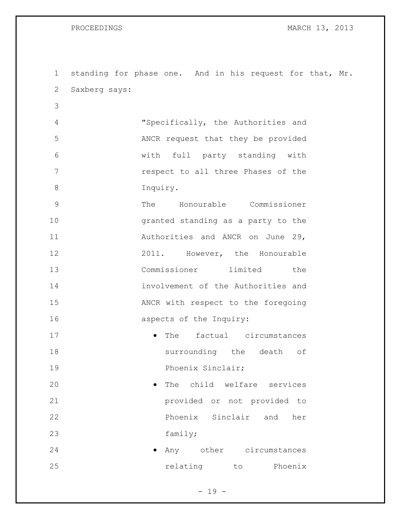standing for phase one. And in his request for that, Mr. Saxberg says: "Specifically, the Authorities and ANCR request that they be provided with full party standing with **respect to all three Phases of the**  Inquiry. The Honourable Commissioner granted standing as a party to the 11 Authorities and ANCR on June 29, 12 2011. However, the Honourable Commissioner limited the involvement of the Authorities and ANCR with respect to the foregoing **aspects** of the Inquiry: **•** The factual circumstances surrounding the death of **Phoenix Sinclair**; **The child welfare services**  provided or not provided to Phoenix Sinclair and her 23 family; **any** other circumstances **relating** to Phoenix

 $- 19 -$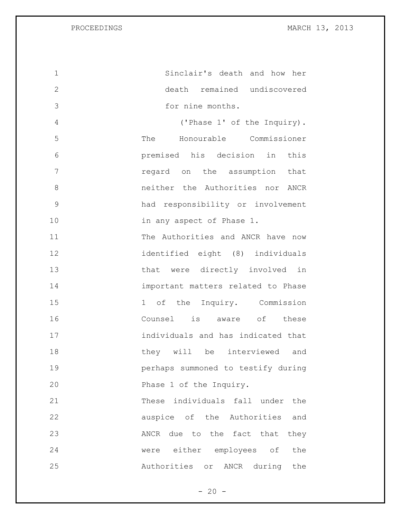| 1            | Sinclair's death and how her       |
|--------------|------------------------------------|
| $\mathbf{2}$ | death remained undiscovered        |
| 3            | for nine months.                   |
| 4            | ('Phase 1' of the Inquiry).        |
| 5            | The Honourable Commissioner        |
| 6            | premised his decision in this      |
| 7            | regard on the assumption that      |
| 8            | neither the Authorities nor ANCR   |
| $\mathsf 9$  | had responsibility or involvement  |
| 10           | in any aspect of Phase 1.          |
| 11           | The Authorities and ANCR have now  |
| 12           | identified eight (8) individuals   |
| 13           | that were directly involved in     |
| 14           | important matters related to Phase |
| 15           | 1 of the Inquiry. Commission       |
| 16           | Counsel is aware of these          |
| 17           | individuals and has indicated that |
| 18           | be interviewed and<br>they will    |
| 19           | perhaps summoned to testify during |
| 20           | Phase 1 of the Inquiry.            |
| 21           | These individuals fall under the   |
| 22           | auspice of the Authorities and     |
| 23           | ANCR due to the fact that they     |
| 24           | were either employees of the       |
| 25           | Authorities or ANCR during the     |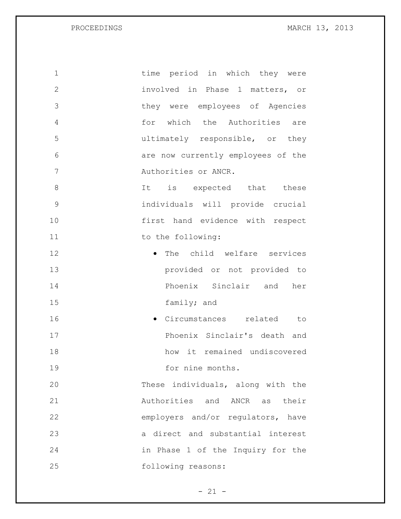| $\mathbf 1$    | time period in which they were     |
|----------------|------------------------------------|
| $\mathbf{2}$   | involved in Phase 1 matters, or    |
| 3              | they were employees of Agencies    |
| $\overline{4}$ | for which the Authorities are      |
| 5              | ultimately responsible, or they    |
| 6              | are now currently employees of the |
| 7              | Authorities or ANCR.               |
| 8              | It is expected that these          |
| $\mathcal{G}$  | individuals will provide crucial   |
| 10             | first hand evidence with respect   |
| 11             | to the following:                  |
| 12             | • The child welfare services       |
| 13             | provided or not provided to        |
| 14             | Phoenix Sinclair and her           |
| 15             | family; and                        |
| 16             | · Circumstances related to         |
| 17             | Phoenix Sinclair's death and       |
| 18             | how it remained undiscovered       |
| 19             | for nine months.                   |
| 20             | These individuals, along with the  |
| 21             | Authorities and ANCR as their      |
| 22             | employers and/or regulators, have  |
| 23             | a direct and substantial interest  |
| 24             | in Phase 1 of the Inquiry for the  |
| 25             | following reasons:                 |

- 21 -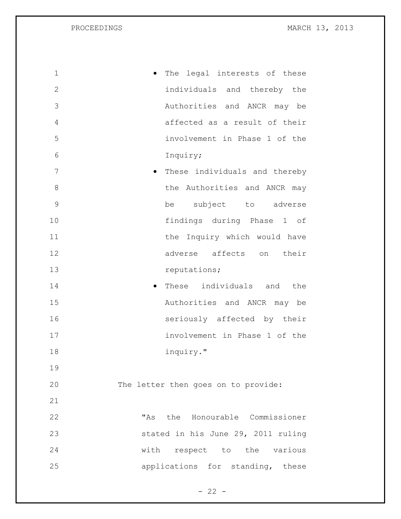| $\mathbf 1$  | The legal interests of these           |
|--------------|----------------------------------------|
| $\mathbf{2}$ | individuals and thereby the            |
| 3            | Authorities and ANCR may be            |
| 4            | affected as a result of their          |
| 5            | involvement in Phase 1 of the          |
| 6            | Inquiry;                               |
| 7            | These individuals and thereby          |
| 8            | the Authorities and ANCR may           |
| 9            | be subject to adverse                  |
| 10           | findings during Phase 1 of             |
| 11           | the Inquiry which would have           |
| 12           | adverse affects on their               |
| 13           | reputations;                           |
| 14           | These individuals and the<br>$\bullet$ |
| 15           | Authorities and ANCR may be            |
| 16           | seriously affected by their            |
| 17           | involvement in Phase 1 of the          |
| 18           | inquiry."                              |
| 19           |                                        |
| 20           | The letter then goes on to provide:    |
| 21           |                                        |
| 22           | "As the Honourable Commissioner        |
| 23           | stated in his June 29, 2011 ruling     |
| 24           | with respect to the various            |
| 25           | applications for standing, these       |

- 22 -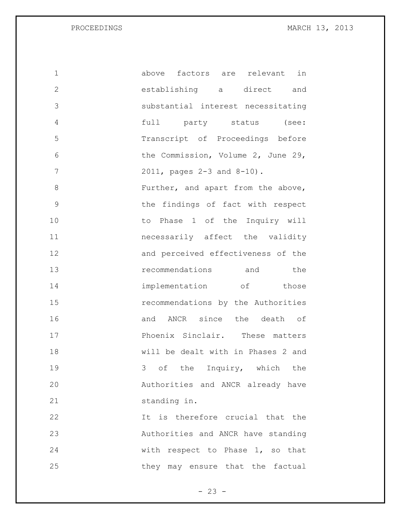| 1            | above factors are relevant in      |
|--------------|------------------------------------|
| $\mathbf{2}$ | establishing a direct and          |
| 3            | substantial interest necessitating |
| 4            | full party status (see:            |
| 5            | Transcript of Proceedings before   |
| 6            | the Commission, Volume 2, June 29, |
| 7            | 2011, pages 2-3 and 8-10).         |
| 8            | Further, and apart from the above, |
| $\mathsf 9$  | the findings of fact with respect  |
| 10           | to Phase 1 of the Inquiry will     |
| 11           | necessarily affect the validity    |
| 12           | and perceived effectiveness of the |
| 13           | recommendations and the            |
| 14           | implementation of those            |
| 15           | recommendations by the Authorities |
| 16           | and ANCR since the death of        |
| 17           | Phoenix Sinclair. These matters    |
| 18           | will be dealt with in Phases 2 and |
| 19           | 3 of the Inquiry, which the        |
| 20           | Authorities and ANCR already have  |
| 21           | standing in.                       |
| 22           | It is therefore crucial that the   |
| 23           | Authorities and ANCR have standing |
| 24           | with respect to Phase 1, so that   |
| 25           | they may ensure that the factual   |

- 23 -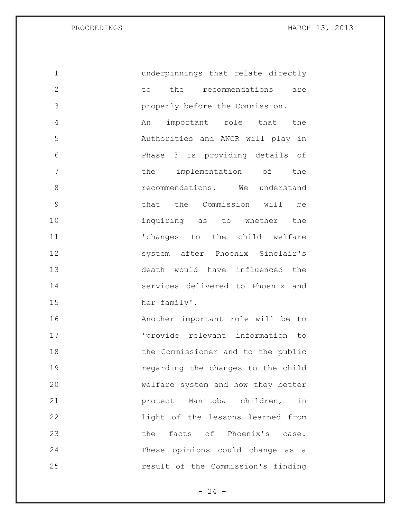underpinnings that relate directly 2 to the recommendations are properly before the Commission. An important role that the Authorities and ANCR will play in Phase 3 is providing details of 7 the implementation of the **8 recommendations.** We understand that the Commission will be inquiring as to whether the  $\blacksquare$   $\blacksquare$   $\blacksquare$   $\blacksquare$   $\blacksquare$   $\blacksquare$   $\blacksquare$   $\blacksquare$   $\blacksquare$   $\blacksquare$   $\blacksquare$   $\blacksquare$   $\blacksquare$   $\blacksquare$   $\blacksquare$   $\blacksquare$   $\blacksquare$   $\blacksquare$   $\blacksquare$   $\blacksquare$   $\blacksquare$   $\blacksquare$   $\blacksquare$   $\blacksquare$   $\blacksquare$   $\blacksquare$   $\blacksquare$   $\blacksquare$   $\blacksquare$   $\blacksquare$   $\blacksquare$   $\$  system after Phoenix Sinclair's death would have influenced the services delivered to Phoenix and her family'. Another important role will be to 'provide relevant information to 18 the Commissioner and to the public regarding the changes to the child welfare system and how they better protect Manitoba children, in light of the lessons learned from 23 the facts of Phoenix's case. These opinions could change as a result of the Commission's finding

 $- 24 -$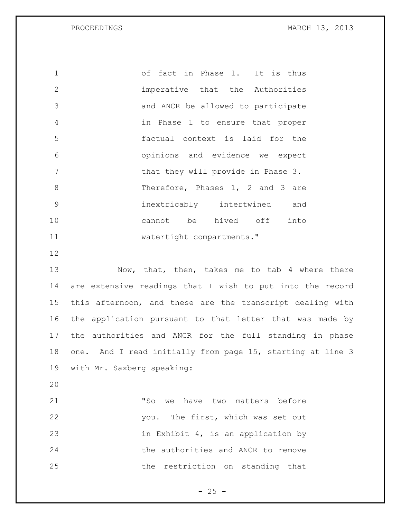of fact in Phase 1. It is thus imperative that the Authorities and ANCR be allowed to participate in Phase 1 to ensure that proper factual context is laid for the opinions and evidence we expect **that they will provide in Phase 3.**  Therefore, Phases 1, 2 and 3 are inextricably intertwined and cannot be hived off into 11 watertight compartments."

13 Now, that, then, takes me to tab 4 where there are extensive readings that I wish to put into the record this afternoon, and these are the transcript dealing with the application pursuant to that letter that was made by the authorities and ANCR for the full standing in phase one. And I read initially from page 15, starting at line 3 with Mr. Saxberg speaking:

 "So we have two matters before you. The first, which was set out 23 in Exhibit 4, is an application by the authorities and ANCR to remove the restriction on standing that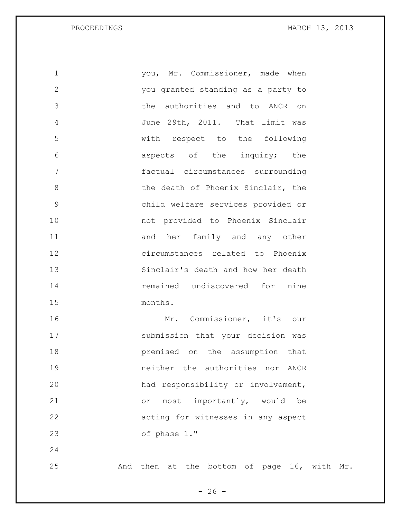| $\mathbf 1$  | you, Mr. Commissioner, made when                        |
|--------------|---------------------------------------------------------|
| $\mathbf{2}$ | you granted standing as a party to                      |
| 3            | the authorities and to ANCR on                          |
| 4            | June 29th, 2011. That limit was                         |
| 5            | with respect to the following                           |
| 6            | aspects of the inquiry; the                             |
| 7            | factual circumstances surrounding                       |
| 8            | the death of Phoenix Sinclair, the                      |
| 9            | child welfare services provided or                      |
| 10           | not provided to Phoenix Sinclair                        |
| 11           | and her family and any other                            |
| 12           | circumstances related to Phoenix                        |
| 13           | Sinclair's death and how her death                      |
| 14           | remained undiscovered for nine                          |
| 15           | months.                                                 |
| 16           | Mr. Commissioner, it's our                              |
| 17           | submission that your decision was                       |
| 18           | premised on the assumption that                         |
| 19           | neither the authorities nor<br>ANCR                     |
| 20           | had responsibility or involvement,                      |
| 21           | importantly, would<br>most<br>be<br>$\circ$ $\,$        |
| 22           | acting for witnesses in any aspect                      |
| 23           | of phase 1."                                            |
| 24           |                                                         |
| 25           | bottom of page 16, with<br>And<br>then at<br>the<br>Mr. |

 $- 26 -$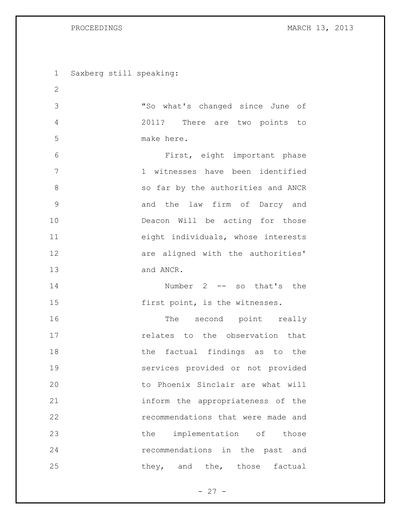Saxberg still speaking: "So what's changed since June of 2011? There are two points to make here. First, eight important phase 1 witnesses have been identified so far by the authorities and ANCR and the law firm of Darcy and Deacon Will be acting for those eight individuals, whose interests **are aligned with the authorities'**  and ANCR. 14 Number 2 -- so that's the **first point, is the witnesses.** 16 The second point really relates to the observation that 18 the factual findings as to the services provided or not provided to Phoenix Sinclair are what will inform the appropriateness of the recommendations that were made and 23 the implementation of those recommendations in the past and 25 they, and the, those factual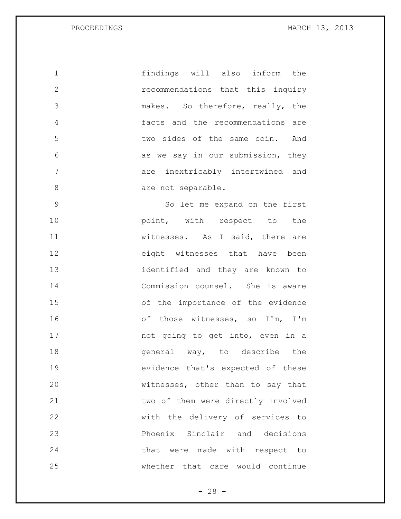findings will also inform the recommendations that this inquiry makes. So therefore, really, the facts and the recommendations are two sides of the same coin. And as we say in our submission, they are inextricably intertwined and 8 are not separable. So let me expand on the first **point**, with respect to the witnesses. As I said, there are eight witnesses that have been identified and they are known to Commission counsel. She is aware of the importance of the evidence of those witnesses, so I'm, I'm not going to get into, even in a **general** way, to describe the evidence that's expected of these witnesses, other than to say that

**two of them were directly involved**  with the delivery of services to Phoenix Sinclair and decisions 24 that were made with respect to whether that care would continue

 $- 28 -$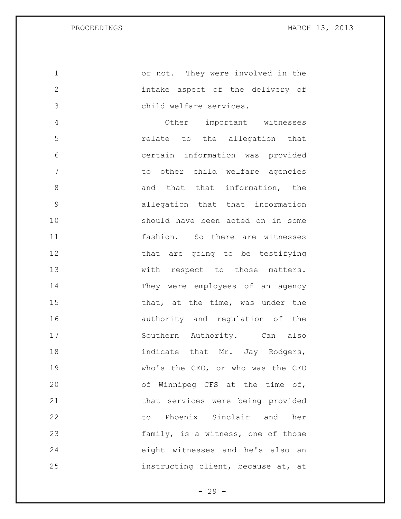or not. They were involved in the intake aspect of the delivery of child welfare services. Other important witnesses relate to the allegation that certain information was provided to other child welfare agencies 8 and that that information, the allegation that that information should have been acted on in some fashion. So there are witnesses 12 that are going to be testifying 13 with respect to those matters. They were employees of an agency 15 that, at the time, was under the 16 authority and regulation of the 17 Southern Authority. Can also 18 indicate that Mr. Jay Rodgers, who's the CEO, or who was the CEO of Winnipeg CFS at the time of, that services were being provided to Phoenix Sinclair and her family, is a witness, one of those eight witnesses and he's also an instructing client, because at, at

 $- 29 -$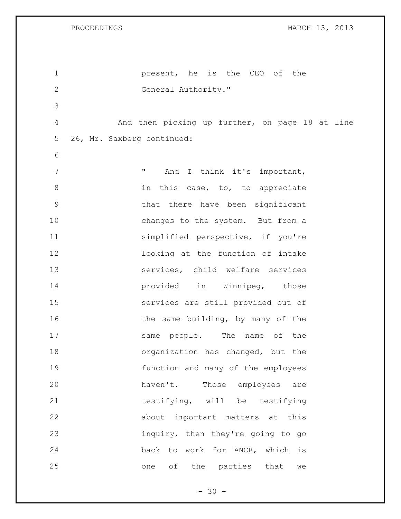| $\mathbf 1$    | present, he is the CEO of the                   |
|----------------|-------------------------------------------------|
| $\mathbf{2}$   | General Authority."                             |
| 3              |                                                 |
| 4              | And then picking up further, on page 18 at line |
| 5              | 26, Mr. Saxberg continued:                      |
| 6              |                                                 |
| $7\phantom{.}$ | 11<br>And I think it's important,               |
| $\,8\,$        | in this case, to, to appreciate                 |
| $\mathsf 9$    | that there have been significant                |
| 10             | changes to the system. But from a               |
| 11             | simplified perspective, if you're               |
| 12             | looking at the function of intake               |
| 13             | services, child welfare services                |
| 14             | provided in Winnipeg, those                     |
| 15             | services are still provided out of              |
| 16             | the same building, by many of the               |
| 17             | same people. The name of the                    |
| 18             | organization has changed, but the               |
| 19             | function and many of the employees              |
| 20             | haven't.<br>Those employees<br>are              |
| 21             | testifying, will be testifying                  |
| 22             | about important matters at this                 |
| 23             | inquiry, then they're going to go               |
| 24             | back to work for ANCR, which is                 |
| 25             | of the parties that<br>one<br>we                |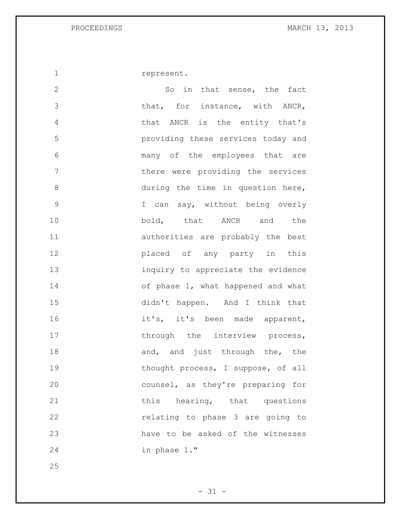represent.

2 So in that sense, the fact 3 that, for instance, with ANCR, that ANCR is the entity that's providing these services today and many of the employees that are there were providing the services during the time in question here, I can say, without being overly bold, that ANCR and the authorities are probably the best placed of any party in this inquiry to appreciate the evidence 14 of phase 1, what happened and what didn't happen. And I think that 16 it's, it's been made apparent, 17 through the interview process, 18 and, and just through the, the 19 thought process, I suppose, of all counsel, as they're preparing for 21 this hearing, that questions relating to phase 3 are going to have to be asked of the witnesses in phase 1."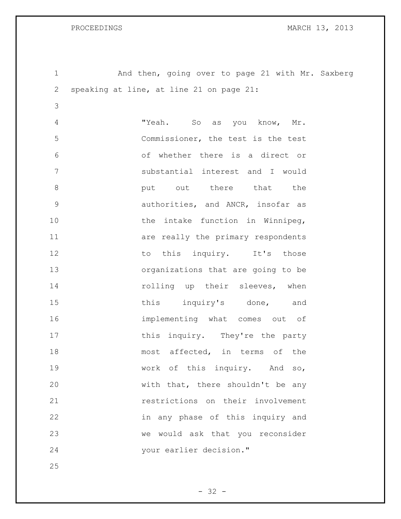1 And then, going over to page 21 with Mr. Saxberg speaking at line, at line 21 on page 21: "Yeah. So as you know, Mr. Commissioner, the test is the test of whether there is a direct or substantial interest and I would **but** out there that the authorities, and ANCR, insofar as 10 the intake function in Winnipeg, **11** are really the primary respondents 12 to this inquiry. It's those organizations that are going to be 14 rolling up their sleeves, when 15 this inquiry's done, and implementing what comes out of 17 this inquiry. They're the party most affected, in terms of the work of this inquiry. And so, with that, there shouldn't be any restrictions on their involvement in any phase of this inquiry and we would ask that you reconsider your earlier decision."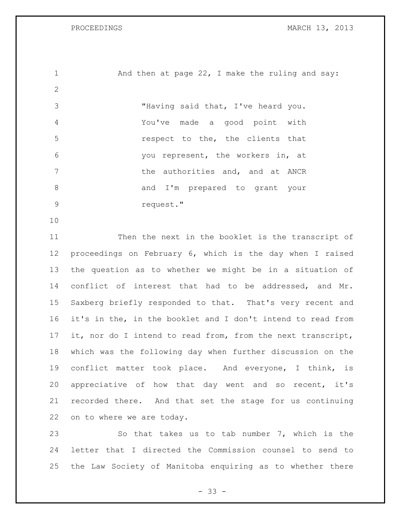1 And then at page 22, I make the ruling and say: "Having said that, I've heard you. You've made a good point with respect to the, the clients that you represent, the workers in, at 7 The authorities and, and at ANCR 8 and I'm prepared to grant your request." Then the next in the booklet is the transcript of proceedings on February 6, which is the day when I raised the question as to whether we might be in a situation of conflict of interest that had to be addressed, and Mr. Saxberg briefly responded to that. That's very recent and it's in the, in the booklet and I don't intend to read from it, nor do I intend to read from, from the next transcript, which was the following day when further discussion on the conflict matter took place. And everyone, I think, is appreciative of how that day went and so recent, it's recorded there. And that set the stage for us continuing

on to where we are today.

 So that takes us to tab number 7, which is the letter that I directed the Commission counsel to send to the Law Society of Manitoba enquiring as to whether there

- 33 -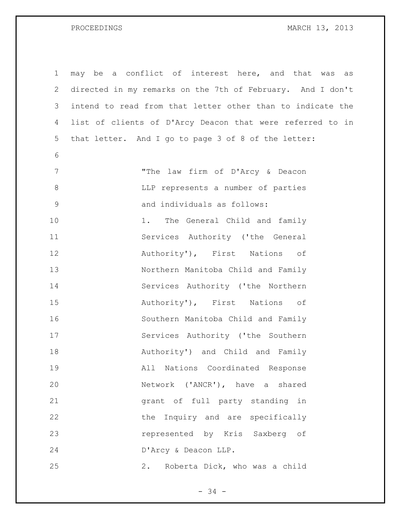| $\mathbf 1$     | may be a conflict of interest here, and that was<br>as     |
|-----------------|------------------------------------------------------------|
| $\mathbf{2}$    | directed in my remarks on the 7th of February. And I don't |
| 3               | intend to read from that letter other than to indicate the |
| 4               | list of clients of D'Arcy Deacon that were referred to in  |
| 5               | that letter. And I go to page 3 of 8 of the letter:        |
| 6               |                                                            |
| $7\phantom{.0}$ | "The law firm of D'Arcy & Deacon                           |
| $\,8\,$         | LLP represents a number of parties                         |
| $\mathcal{G}$   | and individuals as follows:                                |
| 10              | 1. The General Child and family                            |
| 11              | Services Authority ('the General                           |
| 12              | Authority'), First Nations of                              |
| 13              | Northern Manitoba Child and Family                         |
| 14              | Services Authority ('the Northern                          |
| 15              | Authority'), First Nations<br>оf                           |
| 16              | Southern Manitoba Child and Family                         |
| 17              | Services Authority ('the Southern                          |
| 18              | Authority') and Child and Family                           |
| 19              | All Nations Coordinated Response                           |
| 20              | Network ('ANCR'), have a shared                            |
| 21              | grant of full party standing in                            |
| 22              | the Inquiry and are specifically                           |
| 23              | represented by Kris Saxberg of                             |
| 24              | D'Arcy & Deacon LLP.                                       |
| 25              | Roberta Dick, who was a child<br>2.                        |

- 34 -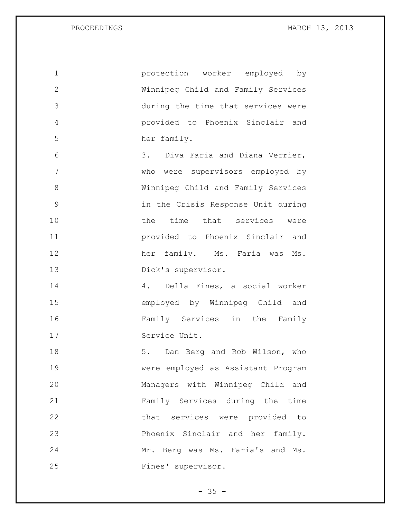| $\mathbf 1$   | protection worker employed by      |
|---------------|------------------------------------|
| $\mathbf{2}$  | Winnipeg Child and Family Services |
| 3             | during the time that services were |
| 4             | provided to Phoenix Sinclair and   |
| 5             | her family.                        |
| 6             | 3. Diva Faria and Diana Verrier,   |
| 7             | who were supervisors employed by   |
| 8             | Winnipeg Child and Family Services |
| $\mathcal{G}$ | in the Crisis Response Unit during |
| 10            | the time that services were        |
| 11            | provided to Phoenix Sinclair and   |
| 12            | her family. Ms. Faria was Ms.      |
| 13            | Dick's supervisor.                 |
| 14            | 4. Della Fines, a social worker    |
| 15            | employed by Winnipeg Child and     |
| 16            | Family Services in the Family      |
| 17            | Service Unit.                      |
| 18            | 5. Dan Berg and Rob Wilson, who    |
| 19            | were employed as Assistant Program |
| 20            | Managers with Winnipeg Child and   |
| 21            | Family Services during the time    |
| 22            | that services were provided to     |
| 23            | Phoenix Sinclair and her family.   |
| 24            | Mr. Berg was Ms. Faria's and Ms.   |
| 25            | Fines' supervisor.                 |

- 35 -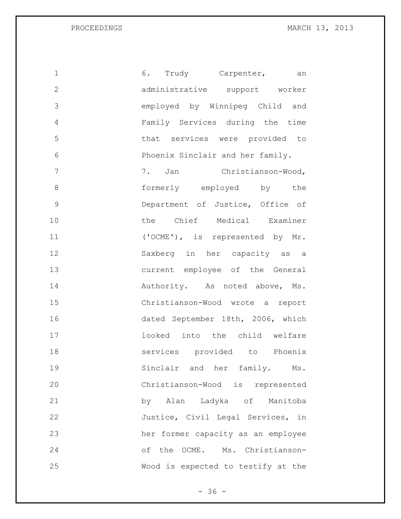| 1            | Trudy Carpenter, an<br>6.          |
|--------------|------------------------------------|
| $\mathbf{2}$ | administrative support worker      |
| 3            | employed by Winnipeg Child and     |
| 4            | Family Services during the time    |
| 5            | that services were provided to     |
| 6            | Phoenix Sinclair and her family.   |
| 7            | 7. Jan Christianson-Wood,          |
| 8            | formerly employed by the           |
| 9            | Department of Justice, Office of   |
| 10           | the Chief Medical Examiner         |
| 11           | ('OCME'), is represented by Mr.    |
| 12           | Saxberg in her capacity as a       |
| 13           | current employee of the General    |
| 14           | Authority. As noted above, Ms.     |
| 15           | Christianson-Wood wrote a report   |
| 16           | dated September 18th, 2006, which  |
| 17           | looked into the child welfare      |
| 18           | services provided to Phoenix       |
| 19           | Sinclair and her family.<br>Ms.    |
| 20           | Christianson-Wood is represented   |
| 21           | by Alan Ladyka of Manitoba         |
| 22           | Justice, Civil Legal Services, in  |
| 23           | her former capacity as an employee |
| 24           | of the OCME. Ms. Christianson-     |
| 25           | Wood is expected to testify at the |

- 36 -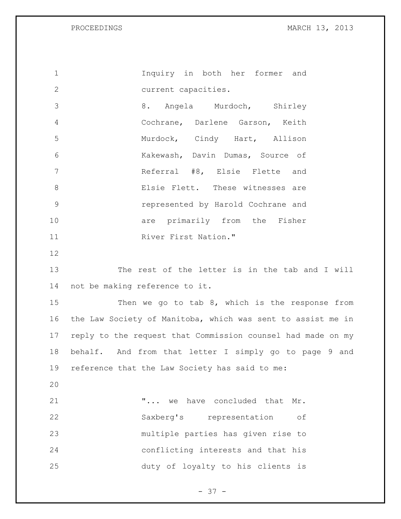Inquiry in both her former and current capacities. 8. Angela Murdoch, Shirley Cochrane, Darlene Garson, Keith Murdock, Cindy Hart, Allison Kakewash, Davin Dumas, Source of Referral #8, Elsie Flette and Elsie Flett. These witnesses are represented by Harold Cochrane and **are primarily from the Fisher** 11 River First Nation." The rest of the letter is in the tab and I will not be making reference to it. Then we go to tab 8, which is the response from the Law Society of Manitoba, which was sent to assist me in reply to the request that Commission counsel had made on my behalf. And from that letter I simply go to page 9 and reference that the Law Society has said to me: "... we have concluded that Mr. Saxberg's representation of multiple parties has given rise to conflicting interests and that his duty of loyalty to his clients is

 $- 37 -$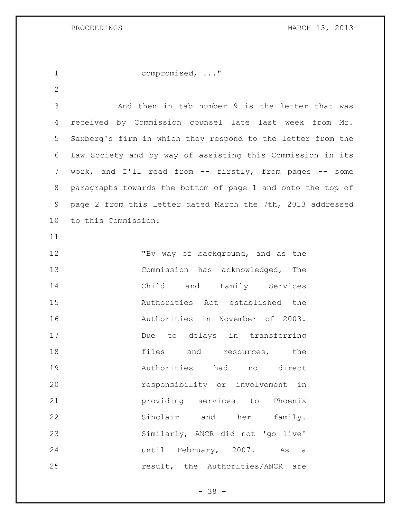compromised, ..."

 And then in tab number 9 is the letter that was received by Commission counsel late last week from Mr. Saxberg's firm in which they respond to the letter from the Law Society and by way of assisting this Commission in its 7 work, and I'll read from -- firstly, from pages -- some paragraphs towards the bottom of page 1 and onto the top of page 2 from this letter dated March the 7th, 2013 addressed to this Commission:

12 "By way of background, and as the Commission has acknowledged, The Child and Family Services Authorities Act established the Authorities in November of 2003. Due to delays in transferring **files** and resources, the Authorities had no direct responsibility or involvement in providing services to Phoenix Sinclair and her family. Similarly, ANCR did not 'go live' until February, 2007. As a **result**, the Authorities/ANCR are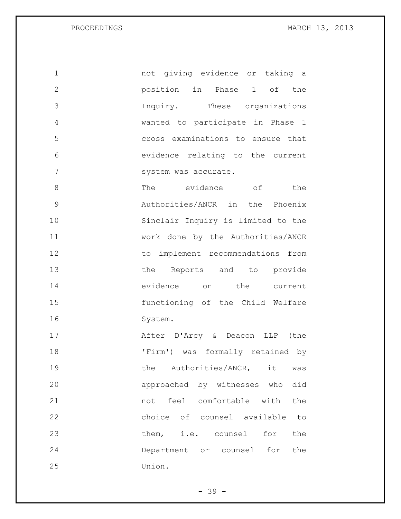not giving evidence or taking a position in Phase 1 of the Inquiry. These organizations wanted to participate in Phase 1 cross examinations to ensure that evidence relating to the current 7 system was accurate. 8 The evidence of the Authorities/ANCR in the Phoenix Sinclair Inquiry is limited to the work done by the Authorities/ANCR to implement recommendations from 13 the Reports and to provide evidence on the current functioning of the Child Welfare System. After D'Arcy & Deacon LLP (the

 'Firm') was formally retained by 19 the Authorities/ANCR, it was approached by witnesses who did not feel comfortable with the choice of counsel available to them, i.e. counsel for the Department or counsel for the Union.

- 39 -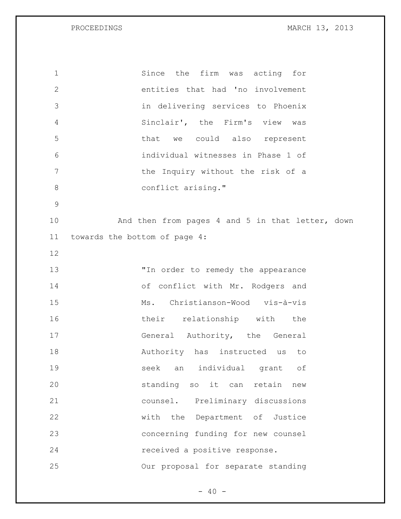| $\mathbf 1$  | Since the firm was acting for                    |
|--------------|--------------------------------------------------|
| $\mathbf{2}$ | entities that had 'no involvement                |
| 3            | in delivering services to Phoenix                |
| 4            | Sinclair', the Firm's view was                   |
| 5            | that we could also represent                     |
| 6            | individual witnesses in Phase 1 of               |
| 7            | the Inquiry without the risk of a                |
| $8\,$        | conflict arising."                               |
| 9            |                                                  |
| 10           | And then from pages 4 and 5 in that letter, down |
| 11           | towards the bottom of page 4:                    |
| 12           |                                                  |
| 13           | "In order to remedy the appearance               |
| 14           | of conflict with Mr. Rodgers and                 |
| 15           | Ms. Christianson-Wood vis-à-vis                  |
| 16           | their relationship with the                      |
| 17           | General Authority, the General                   |
| 18           | Authority has instructed us<br>to                |
| 19           | individual grant<br>seek<br>оf<br>an             |
| 20           | standing so it can<br>retain<br>new              |
| 21           | counsel. Preliminary discussions                 |
| 22           | with the Department of Justice                   |
| 23           | concerning funding for new counsel               |
| 24           | received a positive response.                    |
| 25           | Our proposal for separate standing               |

 $- 40 -$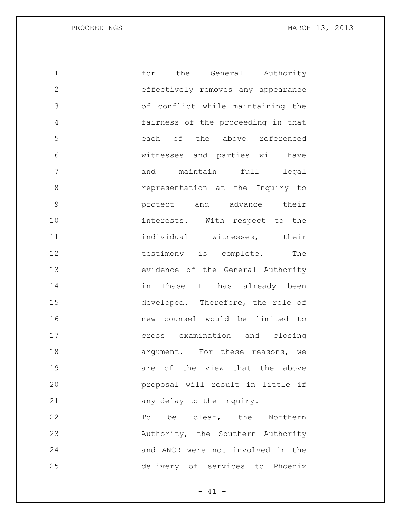| 1             | for<br>the<br>General Authority    |
|---------------|------------------------------------|
| $\mathbf{2}$  | effectively removes any appearance |
| 3             | of conflict while maintaining the  |
| 4             | fairness of the proceeding in that |
| 5             | each of the above referenced       |
| 6             | witnesses and parties will have    |
| 7             | maintain full<br>legal<br>and      |
| 8             | representation at the Inquiry to   |
| $\mathcal{G}$ | protect and advance their          |
| 10            | interests. With respect to the     |
| 11            | individual witnesses, their        |
| 12            | testimony is complete.<br>The      |
| 13            | evidence of the General Authority  |
| 14            | in Phase II has already been       |
| 15            | developed. Therefore, the role of  |
| 16            | new counsel would be limited to    |
| 17            | cross examination and closing      |
| 18            | argument. For these reasons, we    |
| 19            | are of the view that the above     |
| 20            | proposal will result in little if  |
| 21            | any delay to the Inquiry.          |
| 22            | be clear, the Northern<br>Tо       |
| 23            | Authority, the Southern Authority  |
| 24            | and ANCR were not involved in the  |
| 25            | delivery of services to Phoenix    |

- 41 -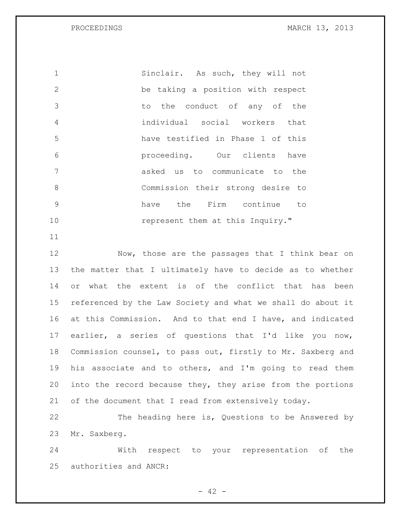1 Sinclair. As such, they will not be taking a position with respect to the conduct of any of the individual social workers that have testified in Phase 1 of this proceeding. Our clients have asked us to communicate to the Commission their strong desire to have the Firm continue to **represent** them at this Inquiry."

12 Now, those are the passages that I think bear on the matter that I ultimately have to decide as to whether or what the extent is of the conflict that has been referenced by the Law Society and what we shall do about it at this Commission. And to that end I have, and indicated earlier, a series of questions that I'd like you now, Commission counsel, to pass out, firstly to Mr. Saxberg and his associate and to others, and I'm going to read them into the record because they, they arise from the portions of the document that I read from extensively today.

 The heading here is, Questions to be Answered by Mr. Saxberg.

 With respect to your representation of the authorities and ANCR:

 $- 42 -$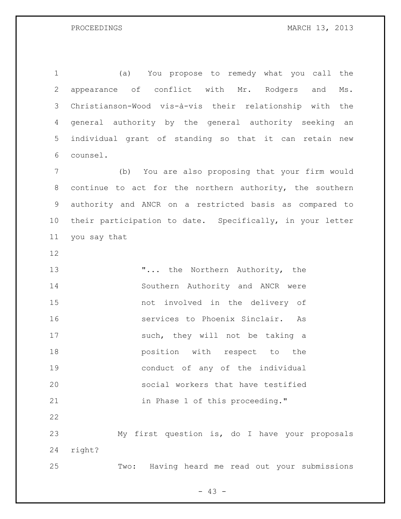(a) You propose to remedy what you call the appearance of conflict with Mr. Rodgers and Ms. Christianson-Wood vis-à-vis their relationship with the general authority by the general authority seeking an individual grant of standing so that it can retain new counsel.

 (b) You are also proposing that your firm would continue to act for the northern authority, the southern authority and ANCR on a restricted basis as compared to their participation to date. Specifically, in your letter you say that

13 T... the Northern Authority, the Southern Authority and ANCR were not involved in the delivery of services to Phoenix Sinclair. As 17 such, they will not be taking a position with respect to the conduct of any of the individual social workers that have testified **in Phase 1 of this proceeding."**  My first question is, do I have your proposals

right?

Two: Having heard me read out your submissions

 $- 43 -$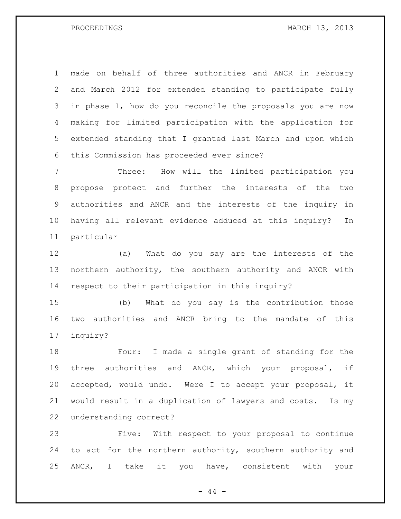made on behalf of three authorities and ANCR in February and March 2012 for extended standing to participate fully in phase 1, how do you reconcile the proposals you are now making for limited participation with the application for extended standing that I granted last March and upon which this Commission has proceeded ever since?

 Three: How will the limited participation you propose protect and further the interests of the two authorities and ANCR and the interests of the inquiry in having all relevant evidence adduced at this inquiry? In particular

 (a) What do you say are the interests of the northern authority, the southern authority and ANCR with respect to their participation in this inquiry?

 (b) What do you say is the contribution those two authorities and ANCR bring to the mandate of this inquiry?

 Four: I made a single grant of standing for the three authorities and ANCR, which your proposal, if accepted, would undo. Were I to accept your proposal, it would result in a duplication of lawyers and costs. Is my understanding correct?

 Five: With respect to your proposal to continue to act for the northern authority, southern authority and ANCR, I take it you have, consistent with your

 $-44 -$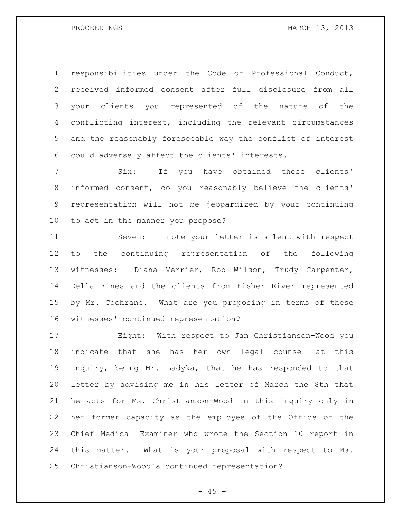responsibilities under the Code of Professional Conduct, received informed consent after full disclosure from all your clients you represented of the nature of the conflicting interest, including the relevant circumstances and the reasonably foreseeable way the conflict of interest could adversely affect the clients' interests.

 Six: If you have obtained those clients' informed consent, do you reasonably believe the clients' representation will not be jeopardized by your continuing to act in the manner you propose?

 Seven: I note your letter is silent with respect to the continuing representation of the following witnesses: Diana Verrier, Rob Wilson, Trudy Carpenter, Della Fines and the clients from Fisher River represented by Mr. Cochrane. What are you proposing in terms of these witnesses' continued representation?

 Eight: With respect to Jan Christianson-Wood you indicate that she has her own legal counsel at this inquiry, being Mr. Ladyka, that he has responded to that letter by advising me in his letter of March the 8th that he acts for Ms. Christianson-Wood in this inquiry only in her former capacity as the employee of the Office of the Chief Medical Examiner who wrote the Section 10 report in this matter. What is your proposal with respect to Ms. Christianson-Wood's continued representation?

 $- 45 -$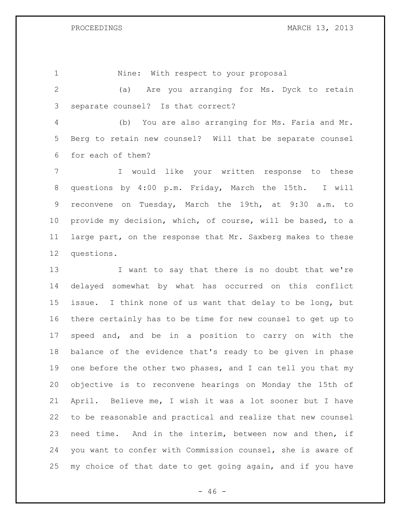1 Nine: With respect to your proposal (a) Are you arranging for Ms. Dyck to retain separate counsel? Is that correct? (b) You are also arranging for Ms. Faria and Mr. Berg to retain new counsel? Will that be separate counsel for each of them?

 I would like your written response to these questions by 4:00 p.m. Friday, March the 15th. I will reconvene on Tuesday, March the 19th, at 9:30 a.m. to provide my decision, which, of course, will be based, to a large part, on the response that Mr. Saxberg makes to these questions.

13 I want to say that there is no doubt that we're delayed somewhat by what has occurred on this conflict issue. I think none of us want that delay to be long, but there certainly has to be time for new counsel to get up to speed and, and be in a position to carry on with the balance of the evidence that's ready to be given in phase 19 one before the other two phases, and I can tell you that my objective is to reconvene hearings on Monday the 15th of April. Believe me, I wish it was a lot sooner but I have to be reasonable and practical and realize that new counsel need time. And in the interim, between now and then, if you want to confer with Commission counsel, she is aware of my choice of that date to get going again, and if you have

 $- 46 -$